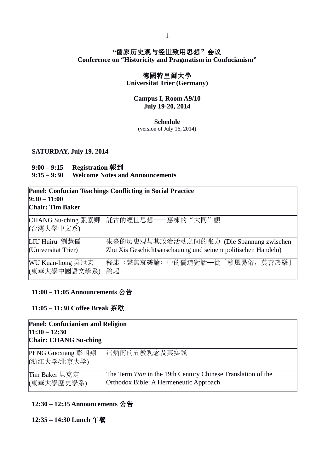### **"**儒家历史观与经世致用思想"会议 **Conference on "Historicity and Pragmatism in Confucianism"**

## 德國特里爾大學

**Universität Trier (Germany)**

#### **Campus I, Room A9/10 July 19-20, 2014**

#### **Schedule**

(version of July 16, 2014)

#### **SATURDAY, July 19, 2014**

## **9:00 – 9:15 Registration** 報到

### **9:15 – 9:30 Welcome Notes and Announcements**

| $9:30 - 11:00$<br>Chair: Tim Baker | <b>Panel: Confucian Teachings Conflicting in Social Practice</b> |
|------------------------------------|------------------------------------------------------------------|
| CHANG Su-ching 張素卿<br>(台灣大學中文系)    | 託古的經世思想——惠棟的"大同"觀                                                |
| LIU Huiru 劉慧儒                      | 朱熹的历史观与其政治活动之间的张力 (Die Spannung zwischen                         |
| (Universität Trier)                | Zhu Xis Geschichtsanschauung und seinem politischen Handeln)     |
| WU Kuan-hong 吳冠宏                   | 嵇康〈聲無哀樂論〉中的儒道對話─從「移風易俗, 莫善於樂」                                    |
| (東華大學中國語文學系)                       | 論起                                                               |

### **11:00 – 11:05 Announcements** 公告

#### **11:05 – 11:30 Coffee Break** 茶歇

| <b>Panel: Confucianism and Religion</b><br>$11:30 - 12:30$<br><b>Chair: CHANG Su-ching</b> |                                                                                                        |
|--------------------------------------------------------------------------------------------|--------------------------------------------------------------------------------------------------------|
| PENG Guoxiang 彭国翔<br>(浙江大学/北京大学)                                                           | 冯炳南的五教观念及其实践                                                                                           |
| Tim Baker 貝克定<br>(東華大學歷史學系)                                                                | The Term Tian in the 19th Century Chinese Translation of the<br>Orthodox Bible: A Hermeneutic Approach |

### **12:30 – 12:35 Announcements** 公告

**12:35 – 14:30 Lunch** 午餐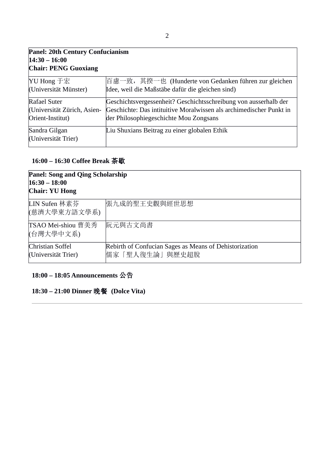| <b>Panel: 20th Century Confucianism</b>                         |                                                                                                                                                                                   |
|-----------------------------------------------------------------|-----------------------------------------------------------------------------------------------------------------------------------------------------------------------------------|
| $14:30 - 16:00$                                                 |                                                                                                                                                                                   |
| <b>Chair: PENG Guoxiang</b>                                     |                                                                                                                                                                                   |
| YU Hong 于宏<br>(Universität Münster)                             | 百慮一致,其揆一也 (Hunderte von Gedanken führen zur gleichen<br>Idee, weil die Maßstäbe dafür die gleichen sind)                                                                          |
| Rafael Suter<br>(Universität Zürich, Asien-<br>Orient-Institut) | Geschichtsvergessenheit? Geschichtsschreibung von ausserhalb der<br>Geschichte: Das intituitive Moralwissen als archimedischer Punkt in<br>der Philosophiegeschichte Mou Zongsans |
| Sandra Gilgan<br>(Universität Trier)                            | Liu Shuxians Beitrag zu einer globalen Ethik                                                                                                                                      |

# **16:00 – 16:30 Coffee Break** 茶歇

| <b>Panel: Song and Qing Scholarship</b><br>$16:30 - 18:00$<br><b>Chair: YU Hong</b> |                                                                          |
|-------------------------------------------------------------------------------------|--------------------------------------------------------------------------|
| LIN Sufen 林素芬<br>(慈濟大學東方語文學系)                                                       | 張九成的聖王史觀與經世思想                                                            |
| TSAO Mei-shiou 曹美秀<br>(台灣大學中文系)                                                     | 阮元與古文尚書                                                                  |
| Christian Soffel<br>(Universität Trier)                                             | Rebirth of Confucian Sages as Means of Dehistorization<br>儒家「聖人復生論」與歷史超脫 |

# **18:00 – 18:05 Announcements** 公告

**18:30 – 21:00 Dinner** 晚餐 **(Dolce Vita)**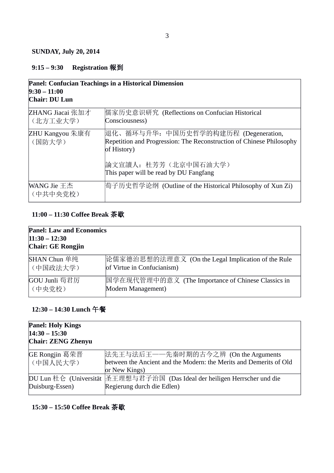### **SUNDAY, July 20, 2014**

# **9:15 – 9:30 Registration** 報到

| <b>Panel: Confucian Teachings in a Historical Dimension</b><br>$9:30 - 11:00$<br>Chair: DU Lun |                                                                                                                             |
|------------------------------------------------------------------------------------------------|-----------------------------------------------------------------------------------------------------------------------------|
| ZHANG Jiacai 张加才<br>(北方工业大学)                                                                   | 懦家历史意识研究 (Reflections on Confucian Historical<br>Consciousness)                                                             |
| ZHU Kangyou 朱康有<br>(国防大学)                                                                      | 退化、循环与升华: 中国历史哲学的构建历程 (Degeneration,<br>Repetition and Progression: The Reconstruction of Chinese Philosophy<br>of History) |
|                                                                                                | 論文宣讀人: 杜芳芳(北京中国石油大学)<br>This paper will be read by DU Fangfang                                                              |
| WANG Jie 王杰<br>(中共中央党校)                                                                        | 简子历史哲学论纲 (Outline of the Historical Philosophy of Xun Zi)                                                                   |

## **11:00 – 11:30 Coffee Break** 茶歇

| <b>Panel: Law and Economics</b><br>$11:30 - 12:30$<br>Chair: GE Rongjin |                                                    |
|-------------------------------------------------------------------------|----------------------------------------------------|
| SHAN Chun 单纯                                                            | 论儒家德治思想的法理意义 (On the Legal Implication of the Rule |
| (中国政法大学)                                                                | of Virtue in Confucianism)                         |
| GOU Junli 苟君厉                                                           | 国学在现代管理中的意义 (The Importance of Chinese Classics in |
| (中央党校)                                                                  | Modern Management)                                 |

## **12:30 – 14:30 Lunch** 午餐

| <b>Panel: Holy Kings</b><br>$14:30 - 15:30$<br><b>Chair: ZENG Zhenyu</b> |                                                                                                                             |
|--------------------------------------------------------------------------|-----------------------------------------------------------------------------------------------------------------------------|
| GE Rongjin 葛荣晋<br>(中国人民大学)                                               | 法先王与法后王——先秦时期的古今之辨 (On the Arguments<br>between the Ancient and the Modern: the Merits and Demerits of Old<br>or New Kings) |
| Duisburg-Essen)                                                          | DU Lun 杜仑  (Universität  圣王理想与君子治国  (Das Ideal der heiligen Herrscher und die<br>Regierung durch die Edlen)                 |

# **15:30 – 15:50 Coffee Break** 茶歇